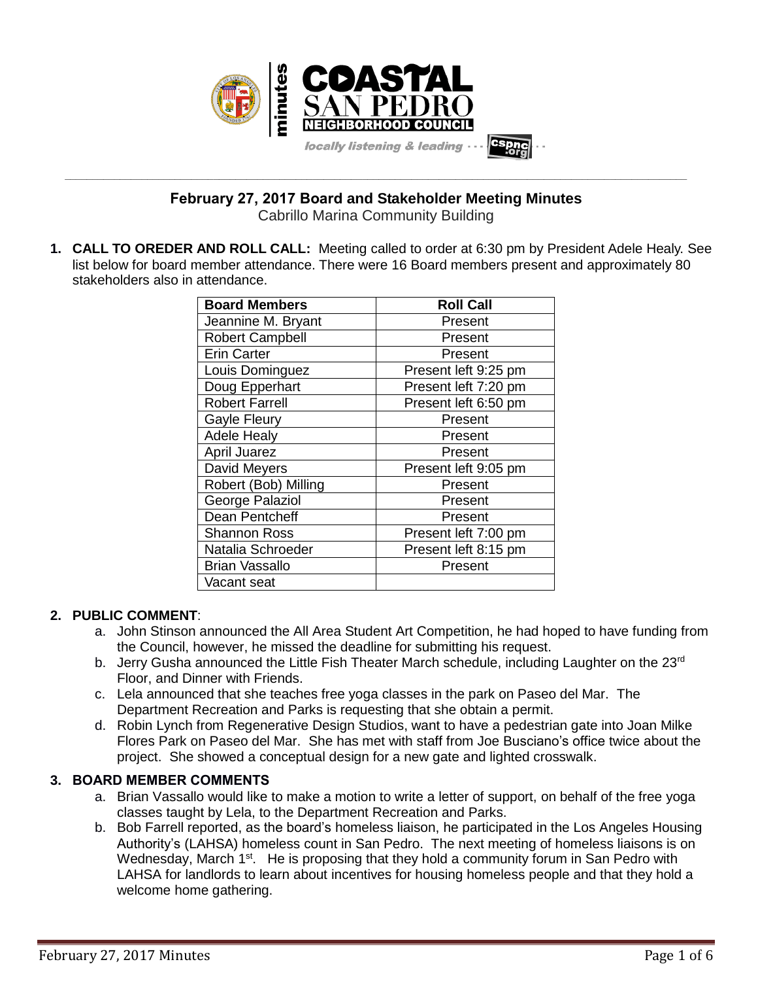

**\_\_\_\_\_\_\_\_\_\_\_\_\_\_\_\_\_\_\_\_\_\_\_\_\_\_\_\_\_\_\_\_\_\_\_\_\_\_\_\_\_\_\_\_\_\_\_\_\_\_\_\_\_\_\_\_\_\_\_\_\_\_\_\_\_\_\_\_\_\_\_\_\_\_\_\_\_\_\_\_\_\_\_\_\_\_\_\_\_\_\_\_\_\_\_\_\_\_\_\_\_\_\_\_\_\_\_\_\_\_\_\_\_ February 27, 2017 Board and Stakeholder Meeting Minutes**

Cabrillo Marina Community Building

**1. CALL TO OREDER AND ROLL CALL:** Meeting called to order at 6:30 pm by President Adele Healy. See list below for board member attendance. There were 16 Board members present and approximately 80 stakeholders also in attendance.

| <b>Board Members</b>   | <b>Roll Call</b>     |
|------------------------|----------------------|
| Jeannine M. Bryant     | Present              |
| <b>Robert Campbell</b> | Present              |
| <b>Erin Carter</b>     | Present              |
| Louis Dominguez        | Present left 9:25 pm |
| Doug Epperhart         | Present left 7:20 pm |
| <b>Robert Farrell</b>  | Present left 6:50 pm |
| <b>Gayle Fleury</b>    | Present              |
| <b>Adele Healy</b>     | Present              |
| <b>April Juarez</b>    | Present              |
| David Meyers           | Present left 9:05 pm |
| Robert (Bob) Milling   | Present              |
| George Palaziol        | Present              |
| Dean Pentcheff         | Present              |
| <b>Shannon Ross</b>    | Present left 7:00 pm |
| Natalia Schroeder      | Present left 8:15 pm |
| <b>Brian Vassallo</b>  | Present              |
| Vacant seat            |                      |

## **2. PUBLIC COMMENT**:

- a. John Stinson announced the All Area Student Art Competition, he had hoped to have funding from the Council, however, he missed the deadline for submitting his request.
- b. Jerry Gusha announced the Little Fish Theater March schedule, including Laughter on the 23<sup>rd</sup> Floor, and Dinner with Friends.
- c. Lela announced that she teaches free yoga classes in the park on Paseo del Mar. The Department Recreation and Parks is requesting that she obtain a permit.
- d. Robin Lynch from Regenerative Design Studios, want to have a pedestrian gate into Joan Milke Flores Park on Paseo del Mar. She has met with staff from Joe Busciano's office twice about the project. She showed a conceptual design for a new gate and lighted crosswalk.

# **3. BOARD MEMBER COMMENTS**

- a. Brian Vassallo would like to make a motion to write a letter of support, on behalf of the free yoga classes taught by Lela, to the Department Recreation and Parks.
- b. Bob Farrell reported, as the board's homeless liaison, he participated in the Los Angeles Housing Authority's (LAHSA) homeless count in San Pedro. The next meeting of homeless liaisons is on Wednesday, March 1<sup>st</sup>. He is proposing that they hold a community forum in San Pedro with LAHSA for landlords to learn about incentives for housing homeless people and that they hold a welcome home gathering.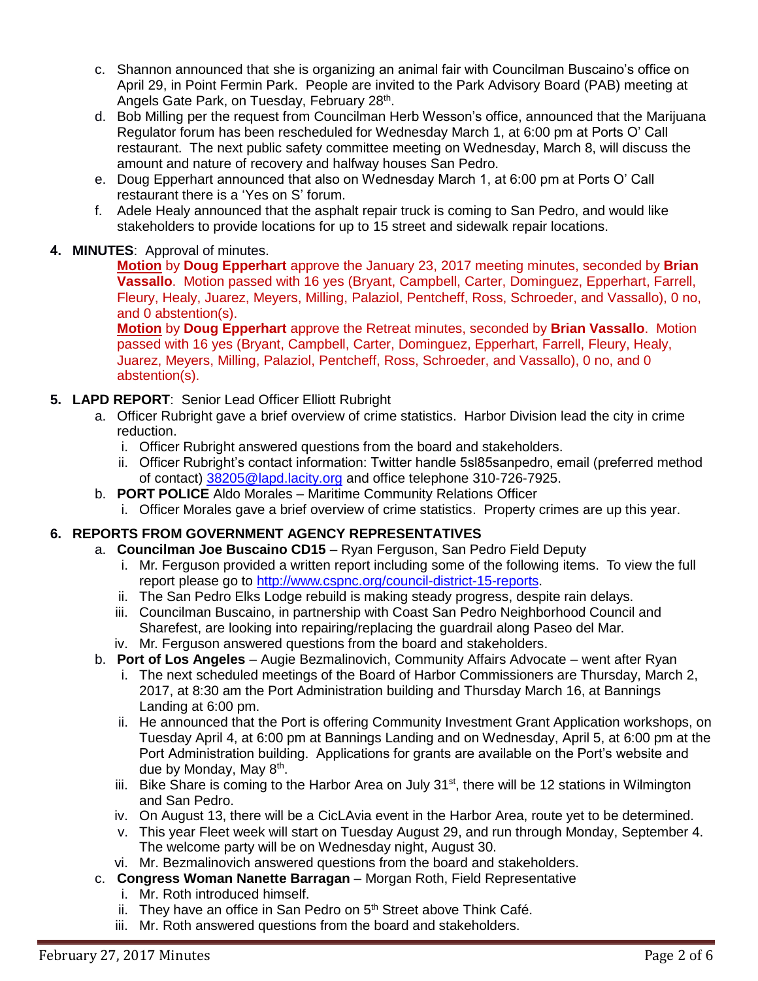- c. Shannon announced that she is organizing an animal fair with Councilman Buscaino's office on April 29, in Point Fermin Park. People are invited to the Park Advisory Board (PAB) meeting at Angels Gate Park, on Tuesday, February 28<sup>th</sup>.
- d. Bob Milling per the request from Councilman Herb Wesson's office, announced that the Marijuana Regulator forum has been rescheduled for Wednesday March 1, at 6:00 pm at Ports O' Call restaurant. The next public safety committee meeting on Wednesday, March 8, will discuss the amount and nature of recovery and halfway houses San Pedro.
- e. Doug Epperhart announced that also on Wednesday March 1, at 6:00 pm at Ports O' Call restaurant there is a 'Yes on S' forum.
- f. Adele Healy announced that the asphalt repair truck is coming to San Pedro, and would like stakeholders to provide locations for up to 15 street and sidewalk repair locations.

## **4. MINUTES**: Approval of minutes.

**Motion** by **Doug Epperhart** approve the January 23, 2017 meeting minutes, seconded by **Brian Vassallo**. Motion passed with 16 yes (Bryant, Campbell, Carter, Dominguez, Epperhart, Farrell, Fleury, Healy, Juarez, Meyers, Milling, Palaziol, Pentcheff, Ross, Schroeder, and Vassallo), 0 no, and 0 abstention(s).

**Motion** by **Doug Epperhart** approve the Retreat minutes, seconded by **Brian Vassallo**. Motion passed with 16 yes (Bryant, Campbell, Carter, Dominguez, Epperhart, Farrell, Fleury, Healy, Juarez, Meyers, Milling, Palaziol, Pentcheff, Ross, Schroeder, and Vassallo), 0 no, and 0 abstention(s).

## **5. LAPD REPORT**: Senior Lead Officer Elliott Rubright

- a. Officer Rubright gave a brief overview of crime statistics. Harbor Division lead the city in crime reduction.
	- i. Officer Rubright answered questions from the board and stakeholders.
	- ii. Officer Rubright's contact information: Twitter handle 5sl85sanpedro, email (preferred method of contact) [38205@lapd.lacity.org](mailto:38205@lapd.lacity.org) and office telephone 310-726-7925.
- b. **PORT POLICE** Aldo Morales Maritime Community Relations Officer
	- i. Officer Morales gave a brief overview of crime statistics. Property crimes are up this year.

# **6. REPORTS FROM GOVERNMENT AGENCY REPRESENTATIVES**

- a. **Councilman Joe Buscaino CD15** Ryan Ferguson, San Pedro Field Deputy
	- i. Mr. Ferguson provided a written report including some of the following items. To view the full report please go to [http://www.cspnc.org/council-district-15-reports.](http://www.cspnc.org/council-district-15-reports/)
	- ii. The San Pedro Elks Lodge rebuild is making steady progress, despite rain delays.
	- iii. Councilman Buscaino, in partnership with Coast San Pedro Neighborhood Council and Sharefest, are looking into repairing/replacing the guardrail along Paseo del Mar.
	- iv. Mr. Ferguson answered questions from the board and stakeholders.
- b. **Port of Los Angeles** Augie Bezmalinovich, Community Affairs Advocate went after Ryan
	- i. The next scheduled meetings of the Board of Harbor Commissioners are Thursday, March 2, 2017, at 8:30 am the Port Administration building and Thursday March 16, at Bannings Landing at 6:00 pm.
	- ii. He announced that the Port is offering Community Investment Grant Application workshops, on Tuesday April 4, at 6:00 pm at Bannings Landing and on Wednesday, April 5, at 6:00 pm at the Port Administration building. Applications for grants are available on the Port's website and due by Monday, May 8<sup>th</sup>.
	- iii. Bike Share is coming to the Harbor Area on July 31<sup>st</sup>, there will be 12 stations in Wilmington and San Pedro.
	- iv. On August 13, there will be a CicLAvia event in the Harbor Area, route yet to be determined.
	- v. This year Fleet week will start on Tuesday August 29, and run through Monday, September 4. The welcome party will be on Wednesday night, August 30.
	- vi. Mr. Bezmalinovich answered questions from the board and stakeholders.
- c. **Congress Woman Nanette Barragan** Morgan Roth, Field Representative
	- i. Mr. Roth introduced himself.
	- ii. They have an office in San Pedro on  $5<sup>th</sup>$  Street above Think Café.
	- iii. Mr. Roth answered questions from the board and stakeholders.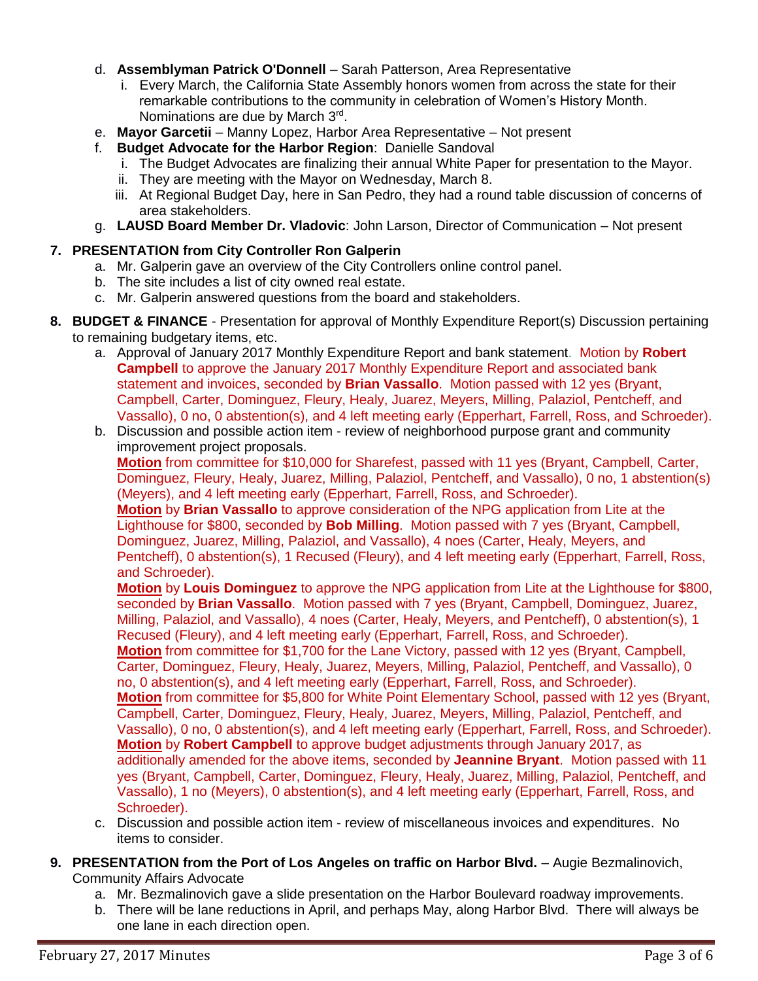- d. **Assemblyman Patrick O'Donnell** Sarah Patterson, Area Representative
	- i. Every March, the California State Assembly honors women from across the state for their remarkable contributions to the community in celebration of Women's History Month. Nominations are due by March 3rd.
- e. **Mayor Garcetii** Manny Lopez, Harbor Area Representative Not present
- f. **Budget Advocate for the Harbor Region**: Danielle Sandoval
	- i. The Budget Advocates are finalizing their annual White Paper for presentation to the Mayor.
	- ii. They are meeting with the Mayor on Wednesday, March 8.
	- iii. At Regional Budget Day, here in San Pedro, they had a round table discussion of concerns of area stakeholders.
- g. **LAUSD Board Member Dr. Vladovic**: John Larson, Director of Communication Not present

# **7. PRESENTATION from City Controller Ron Galperin**

- a. Mr. Galperin gave an overview of the City Controllers online control panel.
- b. The site includes a list of city owned real estate.
- c. Mr. Galperin answered questions from the board and stakeholders.
- **8. BUDGET & FINANCE** Presentation for approval of Monthly Expenditure Report(s) Discussion pertaining to remaining budgetary items, etc.
	- a. Approval of January 2017 Monthly Expenditure Report and bank statement. Motion by **Robert Campbell** to approve the January 2017 Monthly Expenditure Report and associated bank statement and invoices, seconded by **Brian Vassallo**. Motion passed with 12 yes (Bryant, Campbell, Carter, Dominguez, Fleury, Healy, Juarez, Meyers, Milling, Palaziol, Pentcheff, and Vassallo), 0 no, 0 abstention(s), and 4 left meeting early (Epperhart, Farrell, Ross, and Schroeder).
	- b. Discussion and possible action item review of neighborhood purpose grant and community improvement project proposals.

**Motion** from committee for \$10,000 for Sharefest, passed with 11 yes (Bryant, Campbell, Carter, Dominguez, Fleury, Healy, Juarez, Milling, Palaziol, Pentcheff, and Vassallo), 0 no, 1 abstention(s) (Meyers), and 4 left meeting early (Epperhart, Farrell, Ross, and Schroeder).

**Motion** by **Brian Vassallo** to approve consideration of the NPG application from Lite at the Lighthouse for \$800, seconded by **Bob Milling**. Motion passed with 7 yes (Bryant, Campbell, Dominguez, Juarez, Milling, Palaziol, and Vassallo), 4 noes (Carter, Healy, Meyers, and Pentcheff), 0 abstention(s), 1 Recused (Fleury), and 4 left meeting early (Epperhart, Farrell, Ross, and Schroeder).

**Motion** by **Louis Dominguez** to approve the NPG application from Lite at the Lighthouse for \$800, seconded by **Brian Vassallo**. Motion passed with 7 yes (Bryant, Campbell, Dominguez, Juarez, Milling, Palaziol, and Vassallo), 4 noes (Carter, Healy, Meyers, and Pentcheff), 0 abstention(s), 1 Recused (Fleury), and 4 left meeting early (Epperhart, Farrell, Ross, and Schroeder). **Motion** from committee for \$1,700 for the Lane Victory, passed with 12 yes (Bryant, Campbell, Carter, Dominguez, Fleury, Healy, Juarez, Meyers, Milling, Palaziol, Pentcheff, and Vassallo), 0 no, 0 abstention(s), and 4 left meeting early (Epperhart, Farrell, Ross, and Schroeder). **Motion** from committee for \$5,800 for White Point Elementary School, passed with 12 yes (Bryant, Campbell, Carter, Dominguez, Fleury, Healy, Juarez, Meyers, Milling, Palaziol, Pentcheff, and Vassallo), 0 no, 0 abstention(s), and 4 left meeting early (Epperhart, Farrell, Ross, and Schroeder). **Motion** by **Robert Campbell** to approve budget adjustments through January 2017, as additionally amended for the above items, seconded by **Jeannine Bryant**. Motion passed with 11 yes (Bryant, Campbell, Carter, Dominguez, Fleury, Healy, Juarez, Milling, Palaziol, Pentcheff, and Vassallo), 1 no (Meyers), 0 abstention(s), and 4 left meeting early (Epperhart, Farrell, Ross, and Schroeder).

- c. Discussion and possible action item review of miscellaneous invoices and expenditures. No items to consider.
- **9. PRESENTATION from the Port of Los Angeles on traffic on Harbor Blvd.** Augie Bezmalinovich, Community Affairs Advocate
	- a. Mr. Bezmalinovich gave a slide presentation on the Harbor Boulevard roadway improvements.
	- b. There will be lane reductions in April, and perhaps May, along Harbor Blvd. There will always be one lane in each direction open.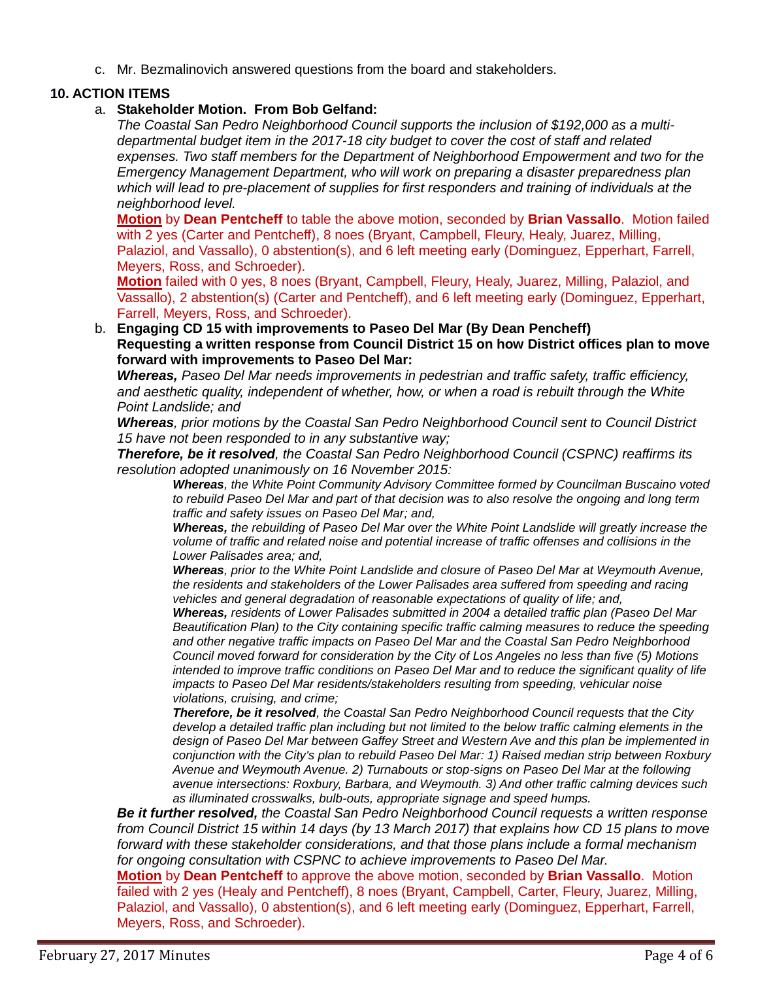c. Mr. Bezmalinovich answered questions from the board and stakeholders.

## **10. ACTION ITEMS**

## a. **Stakeholder Motion. From Bob Gelfand:**

*The Coastal San Pedro Neighborhood Council supports the inclusion of \$192,000 as a multidepartmental budget item in the 2017-18 city budget to cover the cost of staff and related expenses. Two staff members for the Department of Neighborhood Empowerment and two for the Emergency Management Department, who will work on preparing a disaster preparedness plan which will lead to pre-placement of supplies for first responders and training of individuals at the neighborhood level.*

**Motion** by **Dean Pentcheff** to table the above motion, seconded by **Brian Vassallo**. Motion failed with 2 yes (Carter and Pentcheff), 8 noes (Bryant, Campbell, Fleury, Healy, Juarez, Milling, Palaziol, and Vassallo), 0 abstention(s), and 6 left meeting early (Dominguez, Epperhart, Farrell, Meyers, Ross, and Schroeder).

**Motion** failed with 0 yes, 8 noes (Bryant, Campbell, Fleury, Healy, Juarez, Milling, Palaziol, and Vassallo), 2 abstention(s) (Carter and Pentcheff), and 6 left meeting early (Dominguez, Epperhart, Farrell, Meyers, Ross, and Schroeder).

b. **Engaging CD 15 with improvements to Paseo Del Mar (By Dean Pencheff) Requesting a written response from Council District 15 on how District offices plan to move forward with improvements to Paseo Del Mar:**

*Whereas, Paseo Del Mar needs improvements in pedestrian and traffic safety, traffic efficiency, and aesthetic quality, independent of whether, how, or when a road is rebuilt through the White Point Landslide; and*

*Whereas, prior motions by the Coastal San Pedro Neighborhood Council sent to Council District 15 have not been responded to in any substantive way;*

*Therefore, be it resolved, the Coastal San Pedro Neighborhood Council (CSPNC) reaffirms its resolution adopted unanimously on 16 November 2015:*

*Whereas, the White Point Community Advisory Committee formed by Councilman Buscaino voted to rebuild Paseo Del Mar and part of that decision was to also resolve the ongoing and long term traffic and safety issues on Paseo Del Mar; and,* 

*Whereas, the rebuilding of Paseo Del Mar over the White Point Landslide will greatly increase the volume of traffic and related noise and potential increase of traffic offenses and collisions in the Lower Palisades area; and,* 

*Whereas, prior to the White Point Landslide and closure of Paseo Del Mar at Weymouth Avenue, the residents and stakeholders of the Lower Palisades area suffered from speeding and racing vehicles and general degradation of reasonable expectations of quality of life; and,* 

*Whereas, residents of Lower Palisades submitted in 2004 a detailed traffic plan (Paseo Del Mar Beautification Plan) to the City containing specific traffic calming measures to reduce the speeding and other negative traffic impacts on Paseo Del Mar and the Coastal San Pedro Neighborhood Council moved forward for consideration by the City of Los Angeles no less than five (5) Motions intended to improve traffic conditions on Paseo Del Mar and to reduce the significant quality of life impacts to Paseo Del Mar residents/stakeholders resulting from speeding, vehicular noise violations, cruising, and crime;* 

*Therefore, be it resolved, the Coastal San Pedro Neighborhood Council requests that the City develop a detailed traffic plan including but not limited to the below traffic calming elements in the design of Paseo Del Mar between Gaffey Street and Western Ave and this plan be implemented in conjunction with the City's plan to rebuild Paseo Del Mar: 1) Raised median strip between Roxbury Avenue and Weymouth Avenue. 2) Turnabouts or stop-signs on Paseo Del Mar at the following avenue intersections: Roxbury, Barbara, and Weymouth. 3) And other traffic calming devices such as illuminated crosswalks, bulb-outs, appropriate signage and speed humps.*

*Be it further resolved, the Coastal San Pedro Neighborhood Council requests a written response from Council District 15 within 14 days (by 13 March 2017) that explains how CD 15 plans to move forward with these stakeholder considerations, and that those plans include a formal mechanism for ongoing consultation with CSPNC to achieve improvements to Paseo Del Mar.*

**Motion** by **Dean Pentcheff** to approve the above motion, seconded by **Brian Vassallo**. Motion failed with 2 yes (Healy and Pentcheff), 8 noes (Bryant, Campbell, Carter, Fleury, Juarez, Milling, Palaziol, and Vassallo), 0 abstention(s), and 6 left meeting early (Dominguez, Epperhart, Farrell, Meyers, Ross, and Schroeder).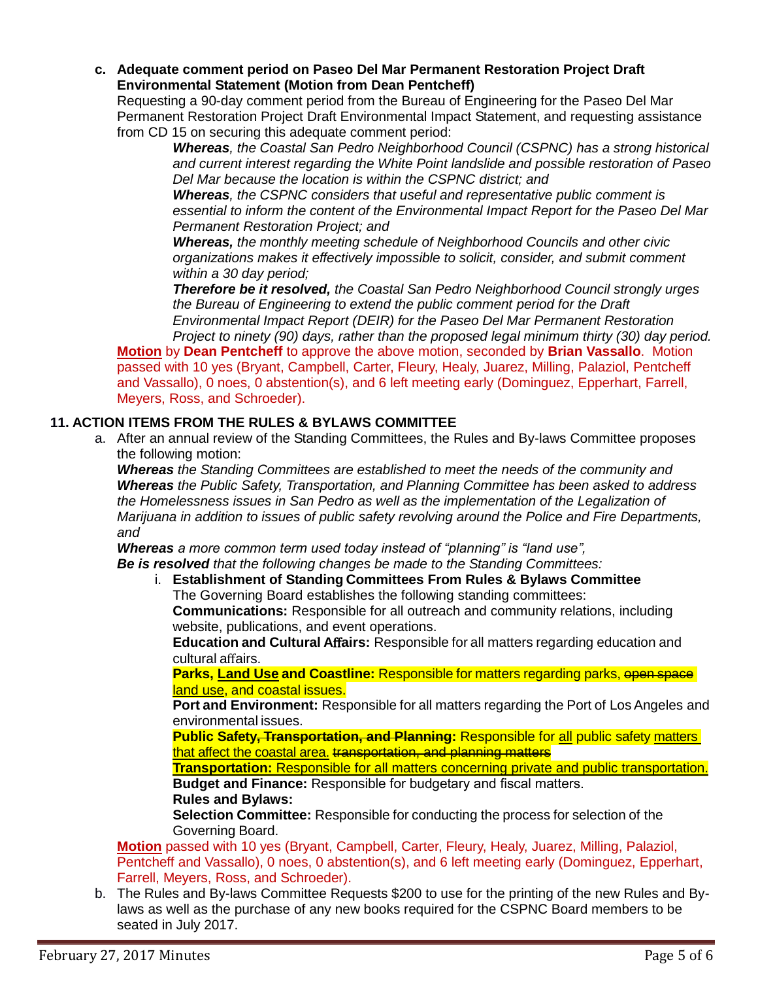**c. Adequate comment period on Paseo Del Mar Permanent Restoration Project Draft Environmental Statement (Motion from Dean Pentcheff)**

Requesting a 90-day comment period from the Bureau of Engineering for the Paseo Del Mar Permanent Restoration Project Draft Environmental Impact Statement, and requesting assistance from CD 15 on securing this adequate comment period:

*Whereas, the Coastal San Pedro Neighborhood Council (CSPNC) has a strong historical and current interest regarding the White Point landslide and possible restoration of Paseo Del Mar because the location is within the CSPNC district; and*

*Whereas, the CSPNC considers that useful and representative public comment is essential to inform the content of the Environmental Impact Report for the Paseo Del Mar Permanent Restoration Project; and*

*Whereas, the monthly meeting schedule of Neighborhood Councils and other civic organizations makes it effectively impossible to solicit, consider, and submit comment within a 30 day period;* 

*Therefore be it resolved, the Coastal San Pedro Neighborhood Council strongly urges the Bureau of Engineering to extend the public comment period for the Draft Environmental Impact Report (DEIR) for the Paseo Del Mar Permanent Restoration* 

*Project to ninety (90) days, rather than the proposed legal minimum thirty (30) day period.* **Motion** by **Dean Pentcheff** to approve the above motion, seconded by **Brian Vassallo**. Motion passed with 10 yes (Bryant, Campbell, Carter, Fleury, Healy, Juarez, Milling, Palaziol, Pentcheff and Vassallo), 0 noes, 0 abstention(s), and 6 left meeting early (Dominguez, Epperhart, Farrell, Meyers, Ross, and Schroeder).

# **11. ACTION ITEMS FROM THE RULES & BYLAWS COMMITTEE**

a. After an annual review of the Standing Committees, the Rules and By-laws Committee proposes the following motion:

*Whereas the Standing Committees are established to meet the needs of the community and Whereas the Public Safety, Transportation, and Planning Committee has been asked to address the Homelessness issues in San Pedro as well as the implementation of the Legalization of Marijuana in addition to issues of public safety revolving around the Police and Fire Departments, and*

*Whereas a more common term used today instead of "planning" is "land use", Be is resolved that the following changes be made to the Standing Committees:*

i. **Establishment of Standing Committees From Rules & Bylaws Committee** The Governing Board establishes the following standing committees:

**Communications:** Responsible for all outreach and community relations, including website, publications, and event operations.

**Education and Cultural A**ff**airs:** Responsible for all matters regarding education and cultural affairs.

**Parks, Land Use and Coastline: Responsible for matters regarding parks, open space** land use, and coastal issues.

**Port and Environment:** Responsible for all matters regarding the Port of Los Angeles and environmental issues.

**Public Safety<del>, Transportation, and Planning</del>: Responsible for all public safety matters** that affect the coastal area. transportation, and planning matters

**Transportation:** Responsible for all matters concerning private and public transportation. **Budget and Finance:** Responsible for budgetary and fiscal matters. **Rules and Bylaws:**

**Selection Committee:** Responsible for conducting the process for selection of the Governing Board.

**Motion** passed with 10 yes (Bryant, Campbell, Carter, Fleury, Healy, Juarez, Milling, Palaziol, Pentcheff and Vassallo), 0 noes, 0 abstention(s), and 6 left meeting early (Dominguez, Epperhart, Farrell, Meyers, Ross, and Schroeder).

b. The Rules and By-laws Committee Requests \$200 to use for the printing of the new Rules and Bylaws as well as the purchase of any new books required for the CSPNC Board members to be seated in July 2017.